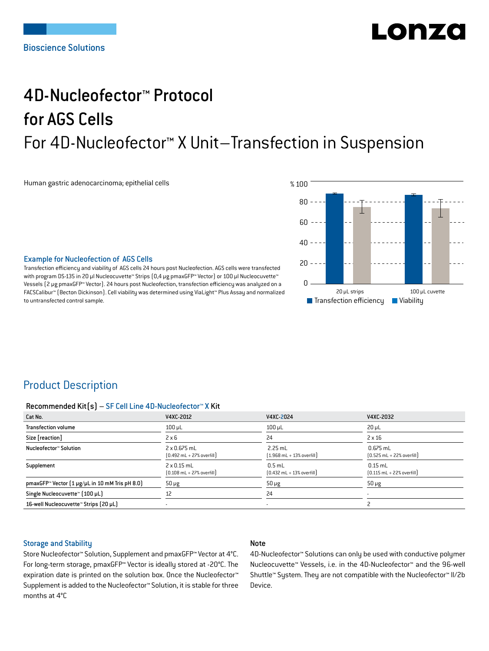# LONZ

## 4D-Nucleofector™ Protocol for AGS Cells For 4D-Nucleofector™ X Unit–Transfection in Suspension

Human gastric adenocarcinoma; epithelial cells



#### Example for Nucleofection of AGS Cells

Transfection efficiency and viability of AGS cells 24 hours post Nucleofection. AGS cells were transfected with program DS-135 in 20 μl Nucleocuvette™ Strips (0,4 μg pmaxGFP™ Vector) or 100 μl Nucleocuvette™ Vessels (2 μg pmaxGFP™ Vector). 24 hours post Nucleofection, transfection efficiency was analyzed on a FACSCalibur™ (Becton Dickinson). Cell viability was determined using ViaLight™ Plus Assay and normalized to untransfected control sample.

## Product Description

#### Recommended Kit(s) – SF Cell Line 4D-Nucleofector™ X Kit

| Cat No.                                        | V4XC-2012                                                          | V4XC-2024                                                 | V4XC-2032                                                  |
|------------------------------------------------|--------------------------------------------------------------------|-----------------------------------------------------------|------------------------------------------------------------|
| <b>Transfection volume</b>                     | $100$ $\mu$ L                                                      | $100$ µL                                                  | $20 \mu L$                                                 |
| Size [reaction]                                | $2 \times 6$                                                       | 24                                                        | $2 \times 16$                                              |
| Nucleofector™ Solution                         | 2 x 0.675 mL<br>$[0.492 \text{ mL} + 27\% \text{ overfill}]$       | $2.25$ mL<br>$(1.968 \text{ mL} + 13\% \text{ overfill})$ | $0.675$ mL<br>$[0.525 \text{ mL} + 22\% \text{ overfill}]$ |
| Supplement                                     | $2 \times 0.15$ mL<br>$[0.108 \text{ mL} + 27\% \text{ overfill}]$ | $0.5$ mL<br>$[0.432 \text{ mL} + 13\% \text{ overfill}]$  | $0.15$ mL<br>$[0.115 \text{ mL} + 22\% \text{ overfill}]$  |
| pmaxGFP™ Vector (1 µg/µL in 10 mM Tris pH 8.0) | $50 \mu g$                                                         | $50 \mu g$                                                | $50 \mu g$                                                 |
| Single Nucleocuvette™ (100 µL)                 | 12                                                                 | 24                                                        |                                                            |
| 16-well Nucleocuvette™ Strips (20 µL)          |                                                                    | ۰                                                         |                                                            |

#### Storage and Stability

#### Note

Store Nucleofector™ Solution, Supplement and pmaxGFP™ Vector at 4°C. For long-term storage, pmaxGFP™ Vector is ideally stored at -20°C. The expiration date is printed on the solution box. Once the Nucleofector™ Supplement is added to the Nucleofector™ Solution, it is stable for three months at 4°C

4D-Nucleofector™ Solutions can only be used with conductive polymer Nucleocuvette™ Vessels, i.e. in the 4D-Nucleofector™ and the 96-well Shuttle™ System. They are not compatible with the Nucleofector™ II/2b Device.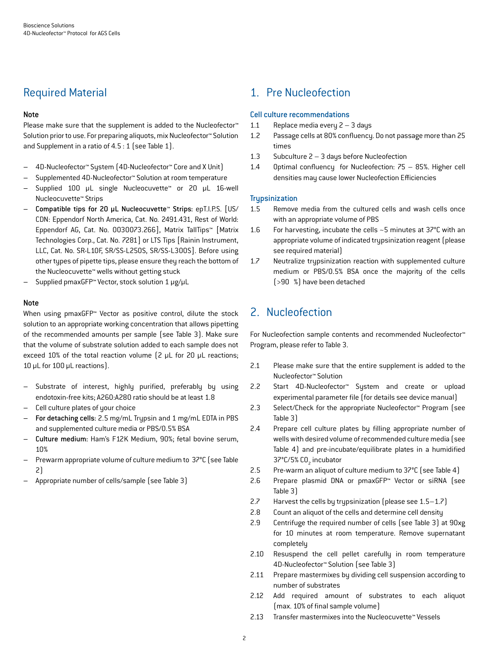## Required Material

#### Note

Please make sure that the supplement is added to the Nucleofector<sup>™</sup> Solution prior to use. For preparing aliquots, mix Nucleofector™ Solution and Supplement in a ratio of 4.5 : 1 (see Table 1).

- 4D-Nucleofector™ System (4D-Nucleofector™ Core and X Unit)
- Supplemented 4D-Nucleofector™ Solution at room temperature
- Supplied 100 µL single Nucleocuvette™ or 20 µL 16-well Nucleocuvette™ Strips
- Compatible tips for 20 µL Nucleocuvette™ Strips: epT.I.P.S. [US/ CDN: Eppendorf North America, Cat. No. 2491.431, Rest of World: Eppendorf AG, Cat. No. 0030073.266], Matrix TallTips™ [Matrix Technologies Corp., Cat. No. 7281] or LTS Tips [Rainin Instrument, LLC, Cat. No. SR-L10F, SR/SS-L250S, SR/SS-L300S]. Before using other types of pipette tips, please ensure they reach the bottom of the Nucleocuvette™ wells without getting stuck
- Supplied pmaxGFP™ Vector, stock solution 1 μg/μL

#### Note

When using pmaxGFP™ Vector as positive control, dilute the stock solution to an appropriate working concentration that allows pipetting of the recommended amounts per sample (see Table 3). Make sure that the volume of substrate solution added to each sample does not exceed 10% of the total reaction volume (2 μL for 20 μL reactions; 10 μL for 100 μL reactions).

- Substrate of interest, highly purified, preferably by using endotoxin-free kits; A260:A280 ratio should be at least 1.8
- Cell culture plates of your choice
- For detaching cells: 2.5 mg/mL Trypsin and 1 mg/mL EDTA in PBS and supplemented culture media or PBS/0.5% BSA
- Culture medium: Ham's F12K Medium, 90%; fetal bovine serum, 10%
- Prewarm appropriate volume of culture medium to 37°C (see Table 2)
- Appropriate number of cells/sample (see Table 3)

## 1. Pre Nucleofection

#### Cell culture recommendations

- 1.1 Replace media every 2 3 days
- 1.2 Passage cells at 80% confluency. Do not passage more than 25 times
- 1.3 Subculture 2 3 days before Nucleofection
- 1.4 Optimal confluency for Nucleofection: 75 85%. Higher cell densities may cause lower Nucleofection Efficiencies

#### **Trypsinization**

- 1.5 Remove media from the cultured cells and wash cells once with an appropriate volume of PBS
- 1.6 For harvesting, incubate the cells ~5 minutes at 37°C with an appropriate volume of indicated trypsinization reagent (please see required material)
- 1.7 Neutralize trypsinization reaction with supplemented culture medium or PBS/0.5% BSA once the majority of the cells (>90 %) have been detached

## 2. Nucleofection

For Nucleofection sample contents and recommended Nucleofector™ Program, please refer to Table 3.

- 2.1 Please make sure that the entire supplement is added to the Nucleofector™ Solution
- 2.2 Start 4D-Nucleofector™ System and create or upload experimental parameter file (for details see device manual)
- 2.3 Select/Check for the appropriate Nucleofector™ Program (see Table 3)
- 2.4 Prepare cell culture plates by filling appropriate number of wells with desired volume of recommended culture media (see Table 4) and pre-incubate/equilibrate plates in a humidified 37°C/5% CO<sub>2</sub> incubator
- 2.5 Pre-warm an aliquot of culture medium to 37°C (see Table 4)
- 2.6 Prepare plasmid DNA or pmaxGFP™ Vector or siRNA (see Table 3)
- 2.7 Harvest the cells by trypsinization (please see 1.5–1.7)
- 2.8 Count an aliquot of the cells and determine cell density
- 2.9 Centrifuge the required number of cells (see Table 3) at 90xg for 10 minutes at room temperature. Remove supernatant completely
- 2.10 Resuspend the cell pellet carefully in room temperature 4D-Nucleofector™ Solution (see Table 3)
- 2.11 Prepare mastermixes by dividing cell suspension according to number of substrates
- 2.12 Add required amount of substrates to each aliquot (max. 10% of final sample volume)
- 2.13 Transfer mastermixes into the Nucleocuvette™ Vessels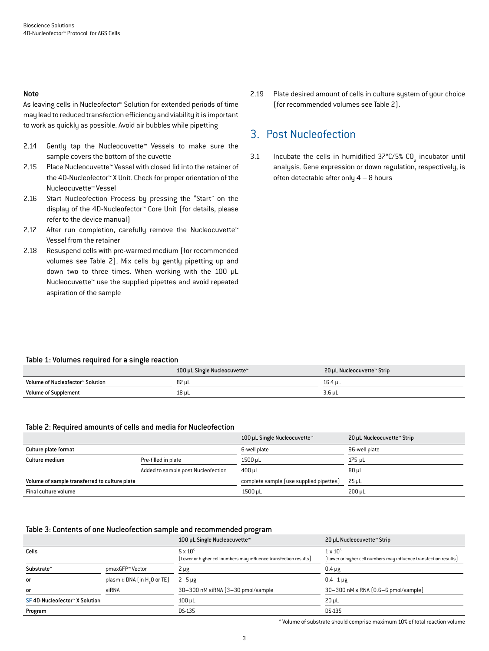#### Note

As leaving cells in Nucleofector™ Solution for extended periods of time may lead to reduced transfection efficiency and viability it is important to work as quickly as possible. Avoid air bubbles while pipetting

- 2.14 Gently tap the Nucleocuvette™ Vessels to make sure the sample covers the bottom of the cuvette
- 2.15 Place Nucleocuvette™ Vessel with closed lid into the retainer of the 4D-Nucleofector™ X Unit. Check for proper orientation of the Nucleocuvette™ Vessel
- 2.16 Start Nucleofection Process by pressing the "Start" on the display of the 4D-Nucleofector™ Core Unit (for details, please refer to the device manual)
- 2.17 After run completion, carefully remove the Nucleocuvette™ Vessel from the retainer
- 2.18 Resuspend cells with pre-warmed medium (for recommended volumes see Table 2). Mix cells by gently pipetting up and down two to three times. When working with the 100 µL Nucleocuvette™ use the supplied pipettes and avoid repeated aspiration of the sample

2.19 Plate desired amount of cells in culture system of your choice (for recommended volumes see Table 2).

## 3. Post Nucleofection

3.1 Incubate the cells in humidified  $37^{\circ}$ C/5% CO<sub>2</sub> incubator until analysis. Gene expression or down regulation, respectively, is often detectable after only 4 – 8 hours

#### Table 1: Volumes required for a single reaction

|                                  | 100 µL Single Nucleocuvette™ | 20 µL Nucleocuvette™ Strip |
|----------------------------------|------------------------------|----------------------------|
| Volume of Nucleofector™ Solution | 82 µL                        | 16.4 uL                    |
| <b>Volume of Supplement</b>      | 18 µL                        | $3.6 \mu L$                |

#### Table 2: Required amounts of cells and media for Nucleofection

|                                               |                                    | 100 µL Single Nucleocuvette™            | 20 µL Nucleocuvette™ Strip |
|-----------------------------------------------|------------------------------------|-----------------------------------------|----------------------------|
| Culture plate format                          |                                    | 6-well plate                            | 96-well plate              |
| Culture medium                                | Pre-filled in plate                | 1500 µL                                 | 175 uL                     |
|                                               | Added to sample post Nucleofection | $400 \mu L$                             | $80 \mu L$                 |
| Volume of sample transferred to culture plate |                                    | complete sample (use supplied pipettes) | $25$ µL                    |
| Final culture volume                          |                                    | 1500 µL                                 | 200 uL                     |

#### Table 3: Contents of one Nucleofection sample and recommended program

|                              |                                         | 100 µL Single Nucleocuvette™                                                         | 20 µL Nucleocuvette™ Strip                                                             |
|------------------------------|-----------------------------------------|--------------------------------------------------------------------------------------|----------------------------------------------------------------------------------------|
| Cells                        |                                         | $5 \times 10^5$<br>[Lower or higher cell numbers may influence transfection results] | $1 \times 10^{5}$<br>[Lower or higher cell numbers may influence transfection results] |
| Substrate*                   | pmaxGFP™ Vector                         | $2 \mu g$                                                                            | $0.4 \mu g$                                                                            |
| or                           | plasmid DNA (in H <sub>2</sub> O or TE) | $2-5 \mu g$                                                                          | $0.4 - 1 \mu$ g                                                                        |
| or                           | siRNA                                   | 30-300 nM siRNA (3-30 pmol/sample)                                                   | $30-300$ nM siRNA $(0.6-6$ pmol/sample)                                                |
| SF4D-Nucleofector™X Solution |                                         | $100$ $\mu$ L                                                                        | $20 \mu L$                                                                             |
| Program                      |                                         | DS-135                                                                               | <b>DS-135</b>                                                                          |

\* Volume of substrate should comprise maximum 10% of total reaction volume